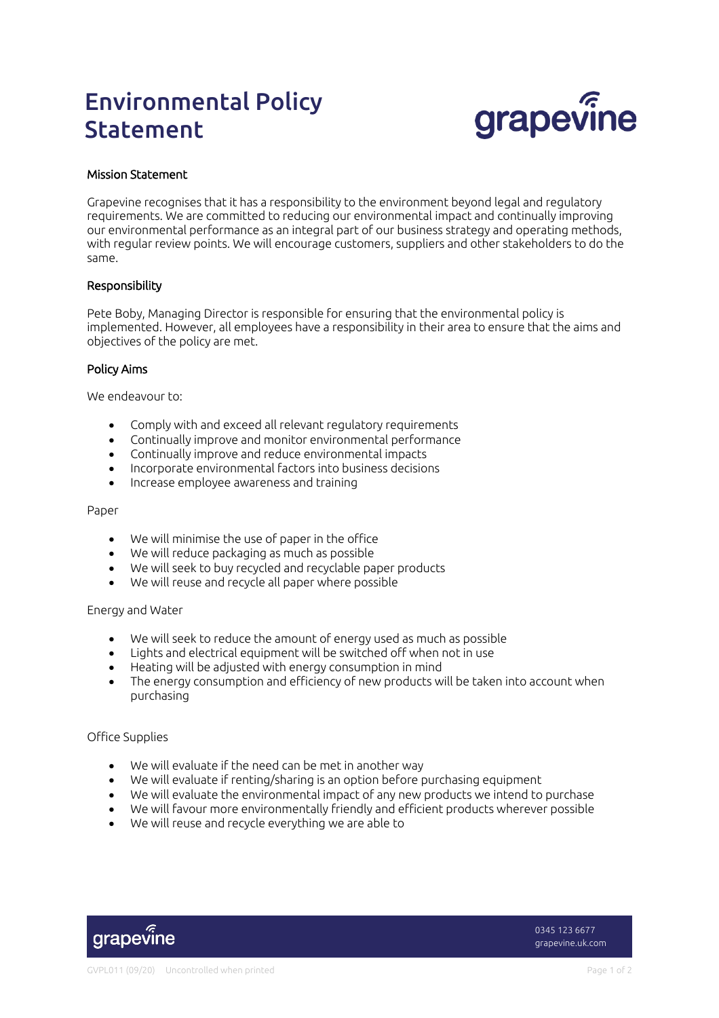# Environmental Policy Statement



## Mission Statement

Grapevine recognises that it has a responsibility to the environment beyond legal and regulatory requirements. We are committed to reducing our environmental impact and continually improving our environmental performance as an integral part of our business strategy and operating methods, with regular review points. We will encourage customers, suppliers and other stakeholders to do the same.

## Responsibility

Pete Boby, Managing Director is responsible for ensuring that the environmental policy is implemented. However, all employees have a responsibility in their area to ensure that the aims and objectives of the policy are met.

## Policy Aims

We endeavour to:

- Comply with and exceed all relevant regulatory requirements
- Continually improve and monitor environmental performance
- Continually improve and reduce environmental impacts
- Incorporate environmental factors into business decisions
- Increase employee awareness and training

#### Paper

- We will minimise the use of paper in the office
- We will reduce packaging as much as possible
- We will seek to buy recycled and recyclable paper products
- We will reuse and recycle all paper where possible

### Energy and Water

- We will seek to reduce the amount of energy used as much as possible
- Lights and electrical equipment will be switched off when not in use
- Heating will be adjusted with energy consumption in mind
- The energy consumption and efficiency of new products will be taken into account when purchasing

### Office Supplies

- We will evaluate if the need can be met in another way
- We will evaluate if renting/sharing is an option before purchasing equipment
- We will evaluate the environmental impact of any new products we intend to purchase
- We will favour more environmentally friendly and efficient products wherever possible
- We will reuse and recycle everything we are able to



0345 123 6677 grapevine.uk.com